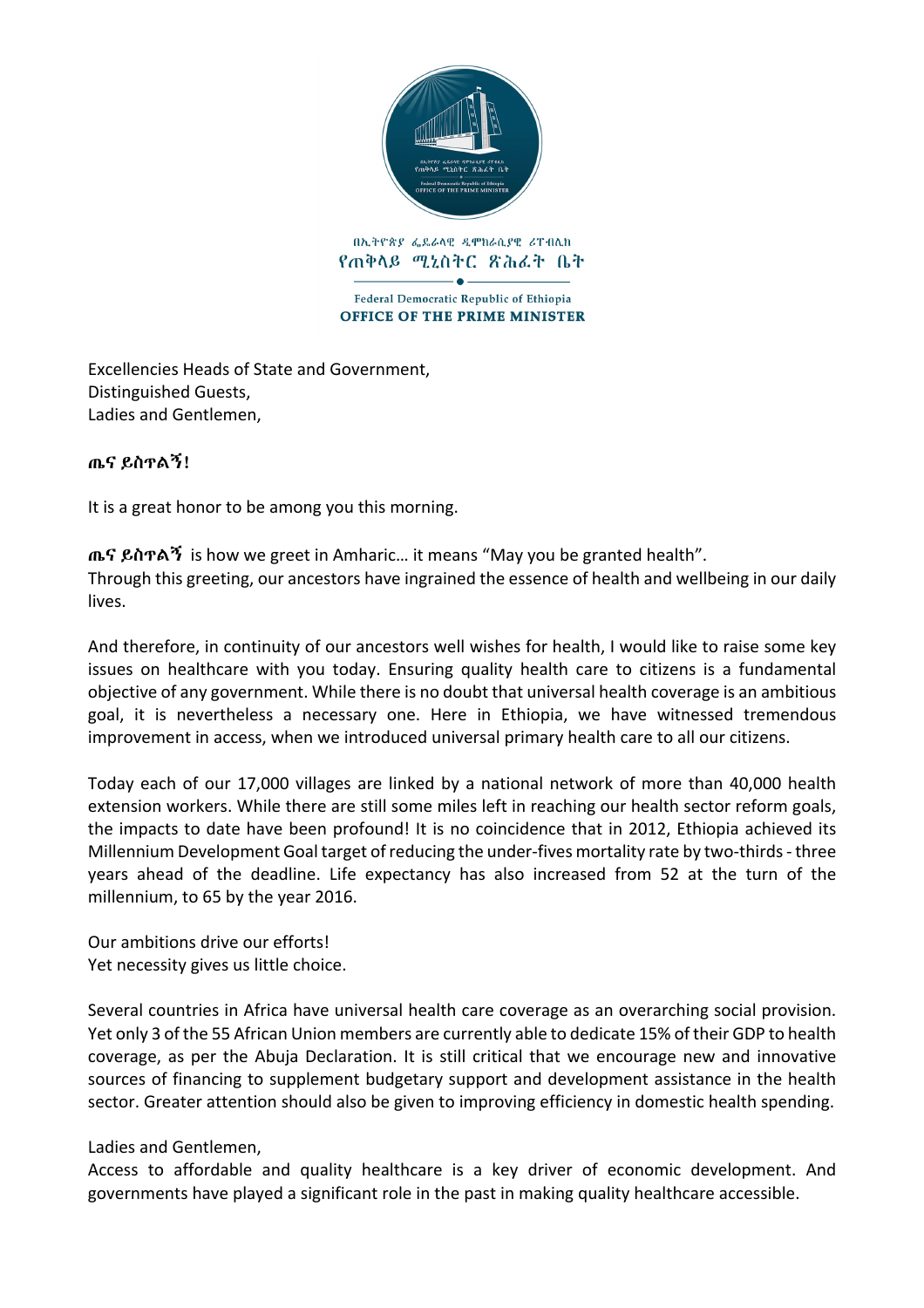

Federal Democratic Republic of Ethiopia OFFICE OF THE PRIME MINISTER

Excellencies Heads of State and Government, Distinguished Guests, Ladies and Gentlemen,

## ጤና ይስጥልኝ!

It is a great honor to be among you this morning. 

ጤና ይስጥልኝ is how we greet in Amharic... it means "May you be granted health". Through this greeting, our ancestors have ingrained the essence of health and wellbeing in our daily lives.

And therefore, in continuity of our ancestors well wishes for health, I would like to raise some key issues on healthcare with you today. Ensuring quality health care to citizens is a fundamental objective of any government. While there is no doubt that universal health coverage is an ambitious goal, it is nevertheless a necessary one. Here in Ethiopia, we have witnessed tremendous improvement in access, when we introduced universal primary health care to all our citizens. 

Today each of our 17,000 villages are linked by a national network of more than 40,000 health extension workers. While there are still some miles left in reaching our health sector reform goals, the impacts to date have been profound! It is no coincidence that in 2012, Ethiopia achieved its Millennium Development Goal target of reducing the under-fives mortality rate by two-thirds - three years ahead of the deadline. Life expectancy has also increased from 52 at the turn of the millennium, to 65 by the year 2016.

Our ambitions drive our efforts! Yet necessity gives us little choice.

Several countries in Africa have universal health care coverage as an overarching social provision. Yet only 3 of the 55 African Union members are currently able to dedicate 15% of their GDP to health coverage, as per the Abuja Declaration. It is still critical that we encourage new and innovative sources of financing to supplement budgetary support and development assistance in the health sector. Greater attention should also be given to improving efficiency in domestic health spending.

## Ladies and Gentlemen,

Access to affordable and quality healthcare is a key driver of economic development. And governments have played a significant role in the past in making quality healthcare accessible.